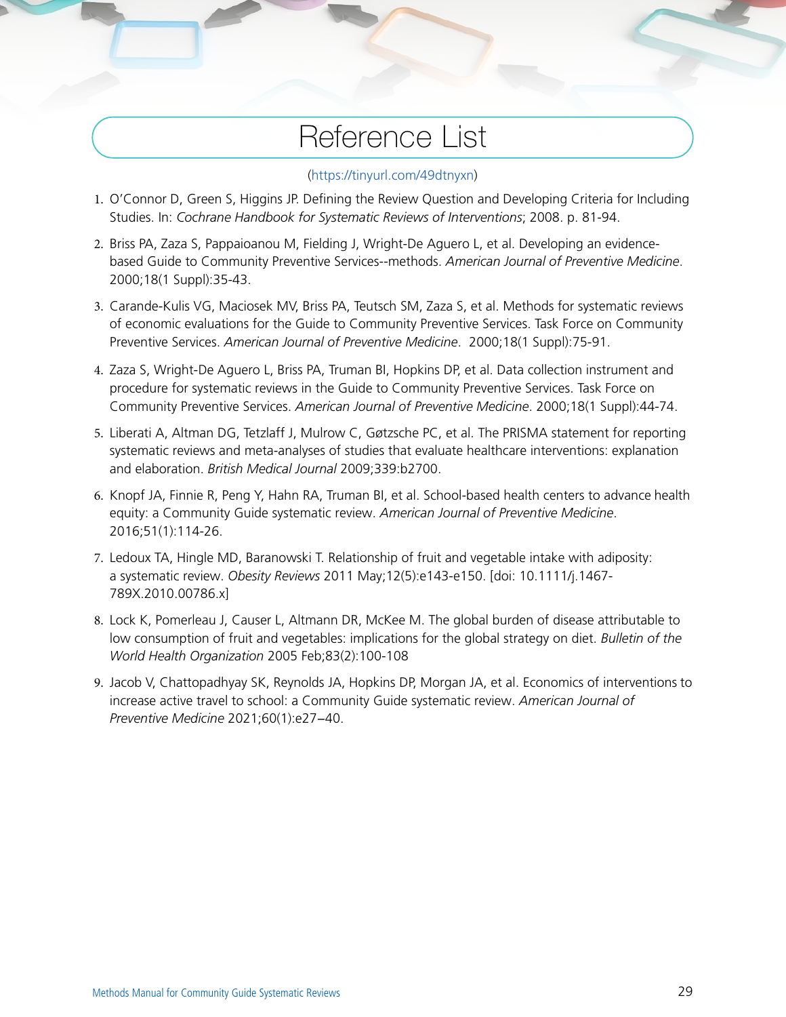# Reference List

#### (<https://tinyurl.com/49dtnyxn>)

- 1. O'Connor D, Green S, Higgins JP. Defining the Review Question and Developing Criteria for Including Studies. In: *Cochrane Handbook for Systematic Reviews of Interventions*; 2008. p. 81-94.
- 2. Briss PA, Zaza S, Pappaioanou M, Fielding J, Wright-De Aguero L, et al. Developing an evidencebased Guide to Community Preventive Services--methods. *American Journal of Preventive Medicine*. 2000;18(1 Suppl):35-43.
- 3. Carande-Kulis VG, Maciosek MV, Briss PA, Teutsch SM, Zaza S, et al. Methods for systematic reviews of economic evaluations for the Guide to Community Preventive Services. Task Force on Community Preventive Services. *American Journal of Preventive Medicine*. 2000;18(1 Suppl):75-91.
- 4. Zaza S, Wright-De Aguero L, Briss PA, Truman BI, Hopkins DP, et al. Data collection instrument and procedure for systematic reviews in the Guide to Community Preventive Services. Task Force on Community Preventive Services. *American Journal of Preventive Medicine*. 2000;18(1 Suppl):44-74.
- 5. Liberati A, Altman DG, Tetzlaff J, Mulrow C, Gøtzsche PC, et al. The PRISMA statement for reporting systematic reviews and meta-analyses of studies that evaluate healthcare interventions: explanation and elaboration. *British Medical Journal* 2009;339:b2700.
- 6. Knopf JA, Finnie R, Peng Y, Hahn RA, Truman BI, et al. School-based health centers to advance health equity: a Community Guide systematic review. *American Journal of Preventive Medicine*. 2016;51(1):114-26.
- 7. Ledoux TA, Hingle MD, Baranowski T. Relationship of fruit and vegetable intake with adiposity: a systematic review. *Obesity Reviews* 2011 May;12(5):e143-e150. [doi: 10.1111/j.1467- 789X.2010.00786.x]
- 8. Lock K, Pomerleau J, Causer L, Altmann DR, McKee M. The global burden of disease attributable to low consumption of fruit and vegetables: implications for the global strategy on diet. *Bulletin of the World Health Organization* 2005 Feb;83(2):100-108
- 9. Jacob V, Chattopadhyay SK, Reynolds JA, Hopkins DP, Morgan JA, et al. Economics of interventions to increase active travel to school: a Community Guide systematic review. *American Journal of Preventive Medicine* 2021;60(1):e27−40.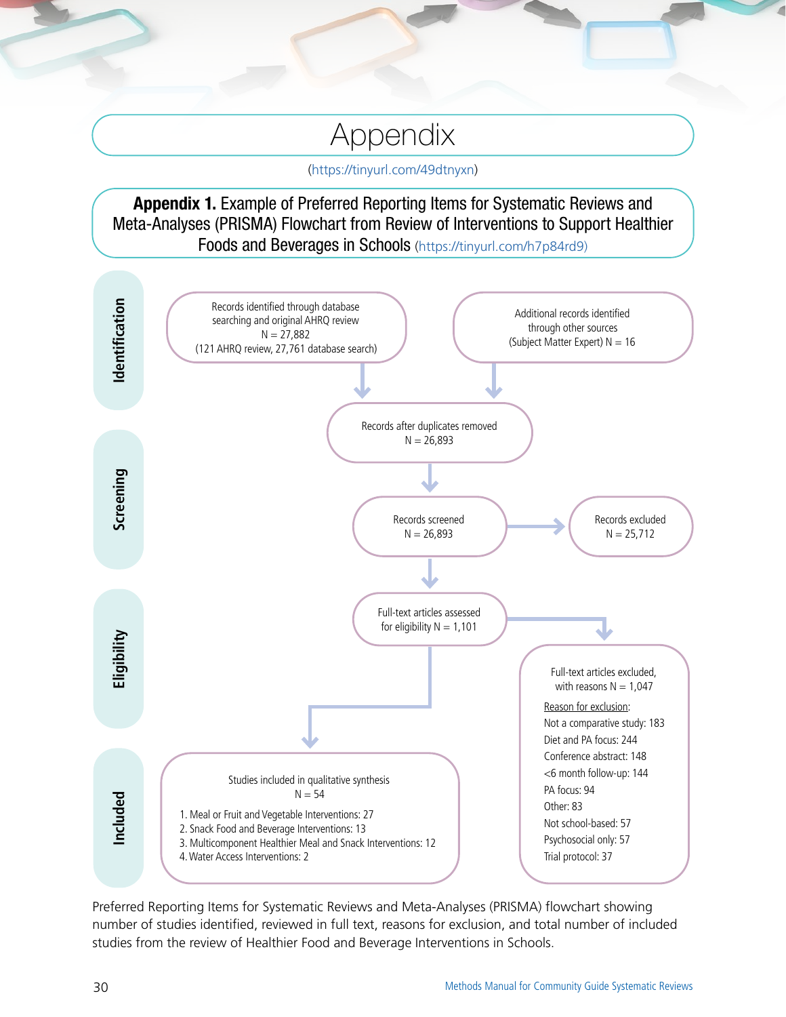# Appendix

([https://tinyurl.com/49dtnyxn\)](https://tinyurl.com/49dtnyxn)

#### Appendix 1. Example of Preferred Reporting Items for Systematic Reviews and Meta-Analyses (PRISMA) Flowchart from Review of Interventions to Support Healthier Foods and Beverages in Schools [\(https://tinyurl.com/h7p84rd9](https://tinyurl.com/h7p84rd9))



Preferred Reporting Items for Systematic Reviews and Meta-Analyses (PRISMA) flowchart showing number of studies identified, reviewed in full text, reasons for exclusion, and total number of included studies from the review of Healthier Food and Beverage Interventions in Schools.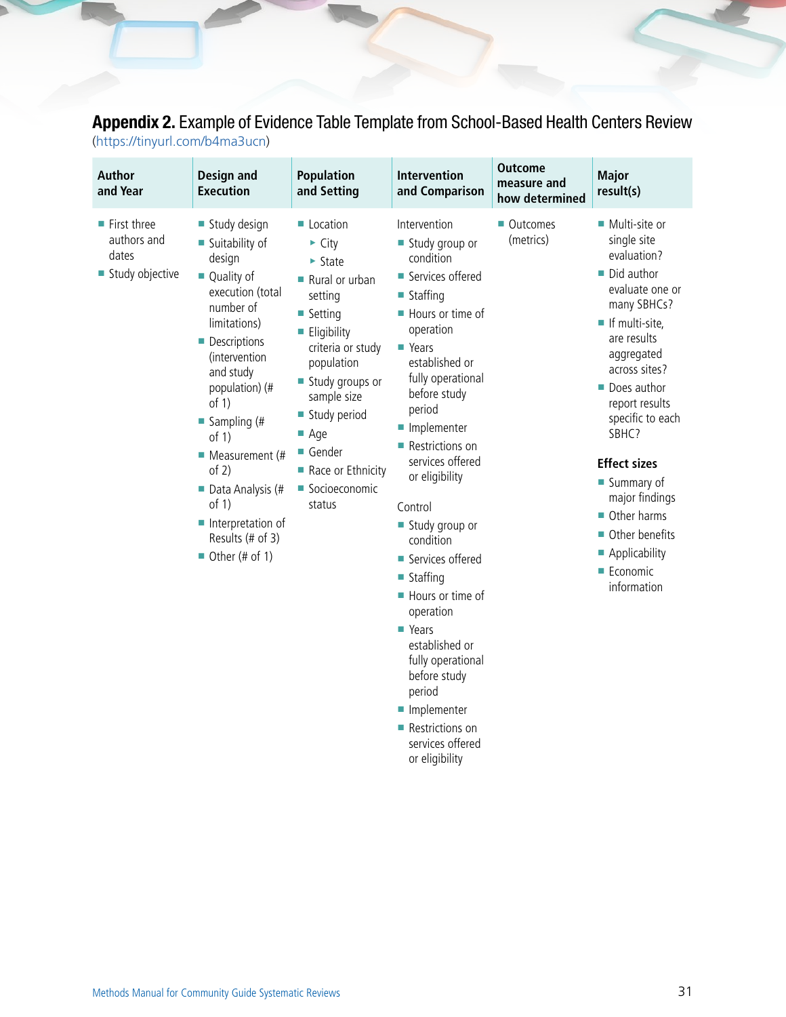### Appendix 2. Example of Evidence Table Template from School-Based Health Centers Review

(<https://tinyurl.com/b4ma3ucn>)

| <b>Author</b><br>and Year                                             | Design and<br><b>Execution</b>                                                                                                                                                                                                                                                                                                                                                          | <b>Population</b><br>and Setting                                                                                                                                                                                                                                                                         | <b>Intervention</b><br>and Comparison                                                                                                                                                                                                                                                                                                                                                                                                                                                         | <b>Outcome</b><br>measure and<br>how determined | <b>Major</b><br>result(s)                                                                                                                                                                                                                                                                                                                                                  |
|-----------------------------------------------------------------------|-----------------------------------------------------------------------------------------------------------------------------------------------------------------------------------------------------------------------------------------------------------------------------------------------------------------------------------------------------------------------------------------|----------------------------------------------------------------------------------------------------------------------------------------------------------------------------------------------------------------------------------------------------------------------------------------------------------|-----------------------------------------------------------------------------------------------------------------------------------------------------------------------------------------------------------------------------------------------------------------------------------------------------------------------------------------------------------------------------------------------------------------------------------------------------------------------------------------------|-------------------------------------------------|----------------------------------------------------------------------------------------------------------------------------------------------------------------------------------------------------------------------------------------------------------------------------------------------------------------------------------------------------------------------------|
| $\blacksquare$ First three<br>authors and<br>dates<br>Study objective | Study design<br>■ Suitability of<br>design<br>■ Quality of<br>execution (total<br>number of<br>limitations)<br>• Descriptions<br>(intervention)<br>and study<br>population) (#<br>of $1)$<br>$\blacksquare$ Sampling (#<br>of $1)$<br>$\blacksquare$ Measurement (#<br>of $2)$<br>Data Analysis (#<br>of $1)$<br>Interpretation of<br>Results (# of 3)<br>$\blacksquare$ Other (# of 1) | $\blacksquare$ Location<br>$\triangleright$ City<br>$\triangleright$ State<br>Rural or urban<br>setting<br>■ Setting<br>Eligibility<br>criteria or study<br>population<br>Study groups or<br>sample size<br>Study period<br>$\blacksquare$ Age<br>Gender<br>Race or Ethnicity<br>Socioeconomic<br>status | Intervention<br>Study group or<br>condition<br>■ Services offered<br>■ Staffing<br>■ Hours or time of<br>operation<br>■ Years<br>established or<br>fully operational<br>before study<br>period<br>Implementer<br>Restrictions on<br>services offered<br>or eligibility<br>Control<br>Study group or<br>condition<br>■ Services offered<br>$\blacksquare$ Staffing<br>Hours or time of<br>operation<br>■ Years<br>established or<br>fully operational<br>before study<br>period<br>Implementer | ■ Outcomes<br>(metrics)                         | ■ Multi-site or<br>single site<br>evaluation?<br>Did author<br>evaluate one or<br>many SBHCs?<br>If multi-site,<br>are results<br>aggregated<br>across sites?<br>Does author<br>report results<br>specific to each<br>SBHC?<br><b>Effect sizes</b><br>■ Summary of<br>major findings<br>Other harms<br>■ Other benefits<br>Applicability<br><b>Economic</b><br>information |

■ Restrictions on services offered or eligibility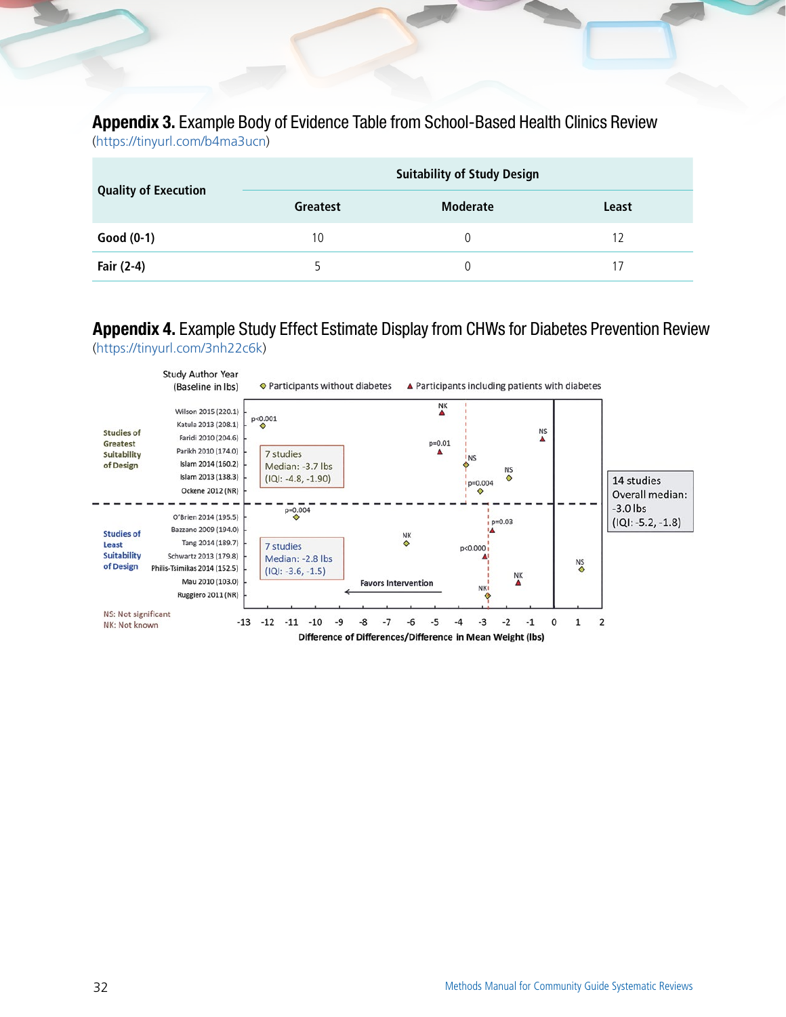## Appendix 3. Example Body of Evidence Table from School-Based Health Clinics Review

(<https://tinyurl.com/b4ma3ucn>)

| <b>Quality of Execution</b> | <b>Suitability of Study Design</b> |                 |       |  |  |
|-----------------------------|------------------------------------|-----------------|-------|--|--|
|                             | <b>Greatest</b>                    | <b>Moderate</b> | Least |  |  |
| Good $(0-1)$                | 10                                 |                 | 17    |  |  |
| Fair (2-4)                  |                                    |                 |       |  |  |

#### Appendix 4. Example Study Effect Estimate Display from CHWs for Diabetes Prevention Review [\(https://tinyurl.com/3nh22c6k\)](https://tinyurl.com/3nh22c6k)

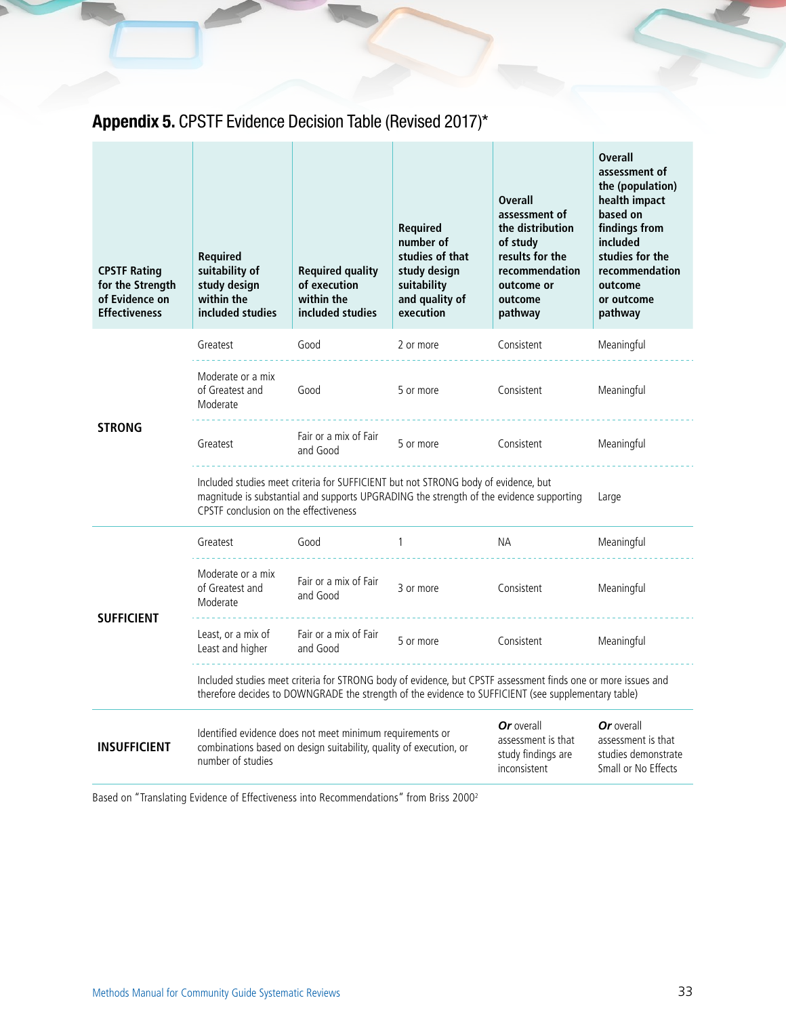## Appendix 5. CPSTF Evidence Decision Table (Revised 2017)\*

| <b>CPSTF Rating</b><br>for the Strength<br>of Evidence on<br><b>Effectiveness</b> | <b>Required</b><br>suitability of<br>study design<br>within the<br>included studies                                                                                                                                             | <b>Required quality</b><br>of execution<br>within the<br>included studies | <b>Required</b><br>number of<br>studies of that<br>study design<br>suitability<br>and quality of<br>execution | <b>Overall</b><br>assessment of<br>the distribution<br>of study<br>results for the<br>recommendation<br>outcome or<br>outcome<br>pathway | <b>Overall</b><br>assessment of<br>the (population)<br>health impact<br>based on<br>findings from<br>included<br>studies for the<br>recommendation<br>outcome<br>or outcome<br>pathway |  |
|-----------------------------------------------------------------------------------|---------------------------------------------------------------------------------------------------------------------------------------------------------------------------------------------------------------------------------|---------------------------------------------------------------------------|---------------------------------------------------------------------------------------------------------------|------------------------------------------------------------------------------------------------------------------------------------------|----------------------------------------------------------------------------------------------------------------------------------------------------------------------------------------|--|
|                                                                                   | Greatest                                                                                                                                                                                                                        | Good                                                                      | 2 or more                                                                                                     | Consistent                                                                                                                               | Meaningful                                                                                                                                                                             |  |
| <b>STRONG</b>                                                                     | Moderate or a mix<br>of Greatest and<br>Moderate                                                                                                                                                                                | Good                                                                      | 5 or more                                                                                                     | Consistent                                                                                                                               | Meaningful                                                                                                                                                                             |  |
|                                                                                   | Greatest                                                                                                                                                                                                                        | Fair or a mix of Fair<br>and Good                                         | 5 or more                                                                                                     | Consistent                                                                                                                               | Meaningful                                                                                                                                                                             |  |
|                                                                                   | Included studies meet criteria for SUFFICIENT but not STRONG body of evidence, but<br>magnitude is substantial and supports UPGRADING the strength of the evidence supporting<br>Large<br>CPSTF conclusion on the effectiveness |                                                                           |                                                                                                               |                                                                                                                                          |                                                                                                                                                                                        |  |
|                                                                                   | Greatest                                                                                                                                                                                                                        | Good                                                                      | $\mathbf{1}$                                                                                                  | NA.                                                                                                                                      | Meaningful                                                                                                                                                                             |  |
| <b>SUFFICIENT</b>                                                                 | Moderate or a mix<br>of Greatest and<br>Moderate                                                                                                                                                                                | Fair or a mix of Fair<br>and Good                                         | 3 or more                                                                                                     | Consistent                                                                                                                               | Meaningful                                                                                                                                                                             |  |
|                                                                                   | Least, or a mix of<br>Least and higher                                                                                                                                                                                          | Fair or a mix of Fair<br>and Good                                         | 5 or more                                                                                                     | Consistent                                                                                                                               | Meaningful                                                                                                                                                                             |  |
|                                                                                   | Included studies meet criteria for STRONG body of evidence, but CPSTF assessment finds one or more issues and<br>therefore decides to DOWNGRADE the strength of the evidence to SUFFICIENT (see supplementary table)            |                                                                           |                                                                                                               |                                                                                                                                          |                                                                                                                                                                                        |  |
| <b>INSUFFICIENT</b>                                                               | Or overall<br>Identified evidence does not meet minimum requirements or<br>combinations based on design suitability, quality of execution, or<br>study findings are<br>number of studies<br>inconsistent                        |                                                                           |                                                                                                               | assessment is that                                                                                                                       | Or overall<br>assessment is that<br>studies demonstrate<br>Small or No Effects                                                                                                         |  |

Based on "Translating Evidence of Effectiveness into Recommendations" from Briss 20002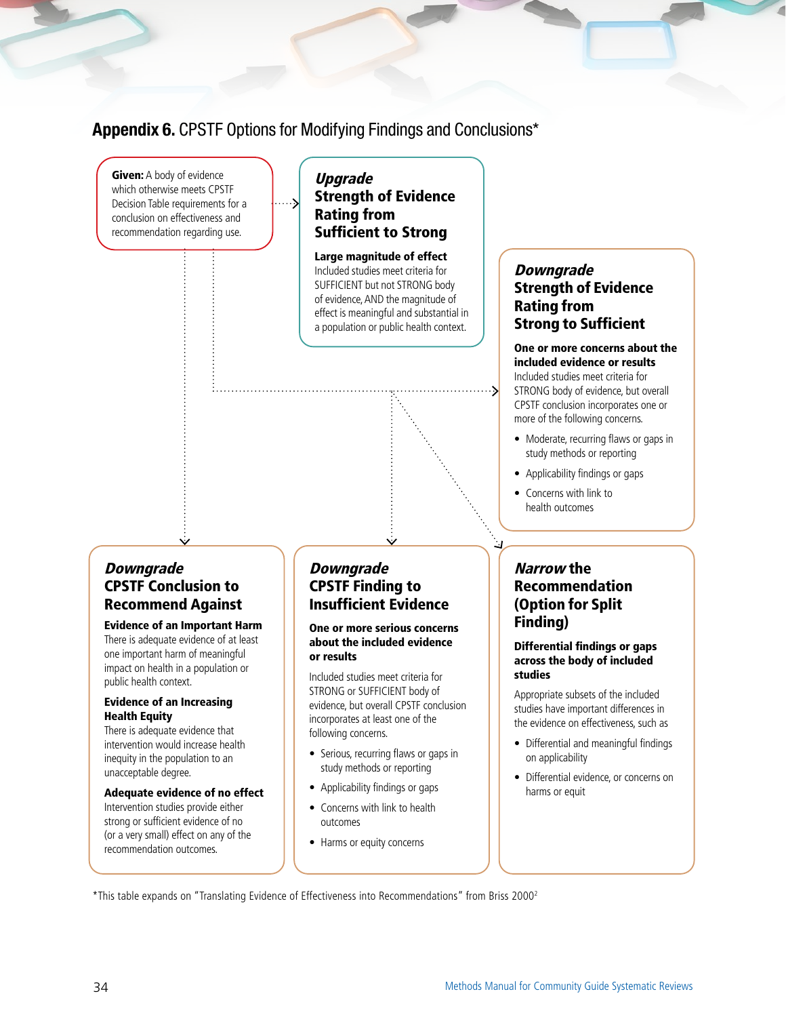#### Appendix 6. CPSTF Options for Modifying Findings and Conclusions\*



#### Adequate evidence of no effect

Intervention studies provide either strong or sufficient evidence of no (or a very small) effect on any of the recommendation outcomes.

#### • Applicability findings or gaps

- Concerns with link to health outcomes
- Harms or equity concerns
- Differential evidence, or concerns on harms or equit

\*This table expands on "Translating Evidence of Effectiveness into Recommendations" from Briss 20002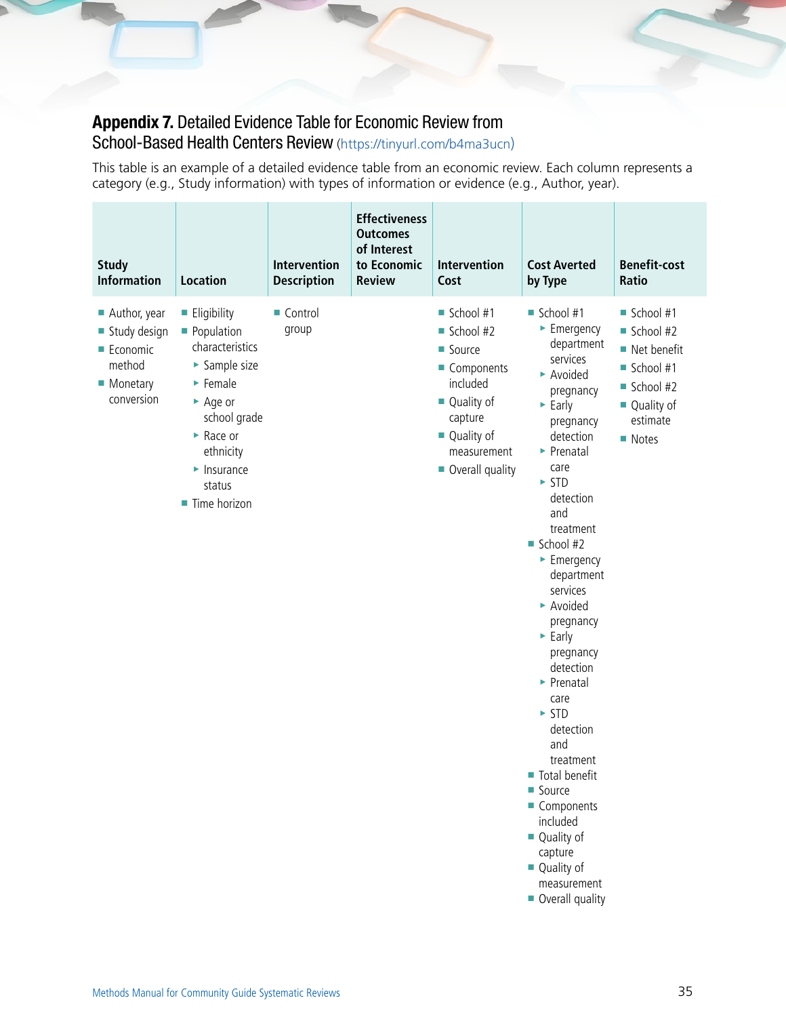### Appendix 7. Detailed Evidence Table for Economic Review from

School-Based Health Centers Review [\(https://tinyurl.com/b4ma3ucn](https://tinyurl.com/b4ma3ucn))

This table is an example of a detailed evidence table from an economic review. Each column represents a category (e.g., Study information) with types of information or evidence (e.g., Author, year).

| <b>Study</b><br><b>Information</b>                                                  | <b>Location</b>                                                                                                                                                                                                                                            | Intervention<br><b>Description</b> | <b>Effectiveness</b><br><b>Outcomes</b><br>of Interest<br>to Economic<br><b>Review</b> | Intervention<br>Cost                                                                                                                    | <b>Cost Averted</b><br>by Type                                                                                                                                                                                                                                                                                                                                                                                                                                                                                                                                                                                                                          | <b>Benefit-cost</b><br>Ratio                                                                             |
|-------------------------------------------------------------------------------------|------------------------------------------------------------------------------------------------------------------------------------------------------------------------------------------------------------------------------------------------------------|------------------------------------|----------------------------------------------------------------------------------------|-----------------------------------------------------------------------------------------------------------------------------------------|---------------------------------------------------------------------------------------------------------------------------------------------------------------------------------------------------------------------------------------------------------------------------------------------------------------------------------------------------------------------------------------------------------------------------------------------------------------------------------------------------------------------------------------------------------------------------------------------------------------------------------------------------------|----------------------------------------------------------------------------------------------------------|
| Author, year<br>Study design<br><b>Economic</b><br>method<br>Monetary<br>conversion | <b>Eligibility</b><br>• Population<br>characteristics<br>► Sample size<br>$\blacktriangleright$ Female<br>$\rightharpoonup$ Age or<br>school grade<br>$\triangleright$ Race or<br>ethnicity<br>$\blacktriangleright$ Insurance<br>status<br>■ Time horizon | ■ Control<br>group                 |                                                                                        | School #1<br>School #2<br>Source<br>Components<br>included<br>■ Quality of<br>capture<br>■ Quality of<br>measurement<br>Overall quality | School #1<br>$\blacktriangleright$ Emergency<br>department<br>services<br>Avoided<br>pregnancy<br>$\blacktriangleright$ Early<br>pregnancy<br>detection<br>$\blacktriangleright$ Prenatal<br>care<br>$\triangleright$ STD<br>detection<br>and<br>treatment<br>School #2<br>$\blacktriangleright$ Emergency<br>department<br>services<br>Avoided<br>pregnancy<br>$\triangleright$ Early<br>pregnancy<br>detection<br>$\blacktriangleright$ Prenatal<br>care<br>$\triangleright$ STD<br>detection<br>and<br>treatment<br>■ Total benefit<br>Source<br>Components<br>included<br>■ Quality of<br>capture<br>■ Quality of<br>measurement<br>Overall quality | School #1<br>School #2<br>■ Net benefit<br>School #1<br>School #2<br>■ Quality of<br>estimate<br>■ Notes |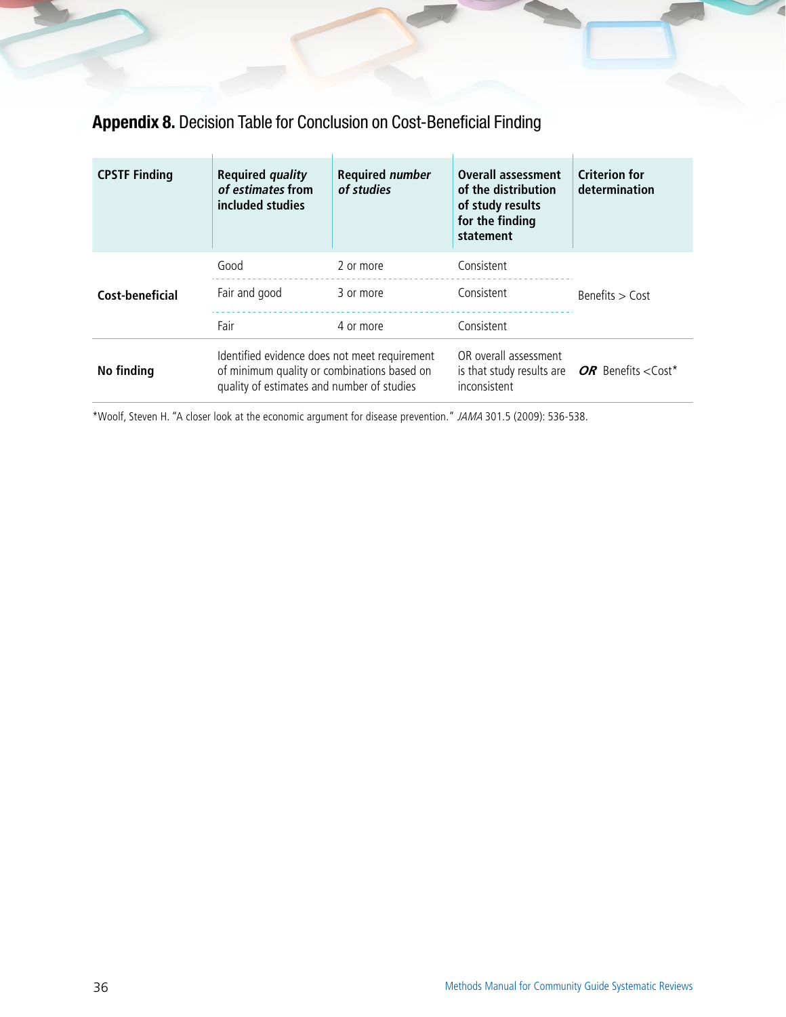## Appendix 8. Decision Table for Conclusion on Cost-Beneficial Finding

| <b>CPSTF Finding</b> | <b>Required quality</b><br>of estimates from<br>included studies                                                                           | <b>Required number</b><br>of studies | <b>Overall assessment</b><br>of the distribution<br>of study results<br>for the finding<br>statement | <b>Criterion for</b><br>determination |
|----------------------|--------------------------------------------------------------------------------------------------------------------------------------------|--------------------------------------|------------------------------------------------------------------------------------------------------|---------------------------------------|
| Cost-beneficial      | Good<br>Fair and good<br>Fair                                                                                                              | 2 or more<br>3 or more<br>4 or more  | Consistent<br>Consistent<br>Consistent                                                               | Benefits $>$ Cost                     |
| No finding           | Identified evidence does not meet requirement<br>of minimum quality or combinations based on<br>quality of estimates and number of studies |                                      | OR overall assessment<br>is that study results are $OR$ Benefits <cost*<br>inconsistent</cost*<br>   |                                       |

\*Woolf, Steven H. "A closer look at the economic argument for disease prevention." JAMA 301.5 (2009): 536-538.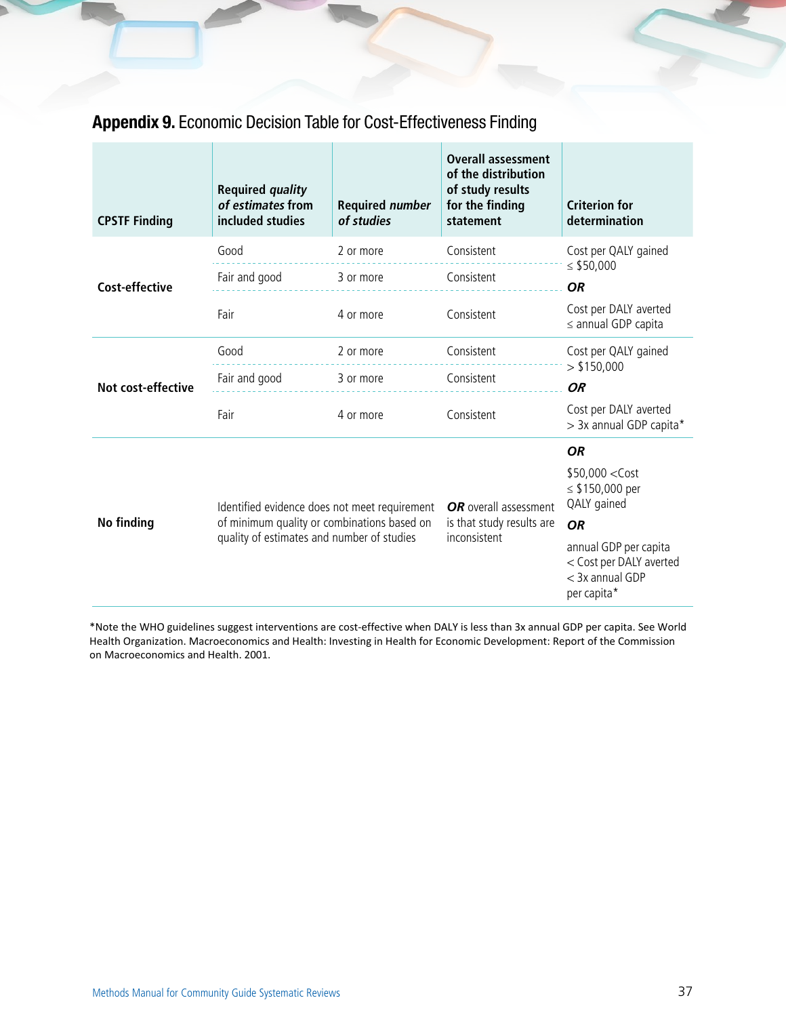### Appendix 9. Economic Decision Table for Cost-Effectiveness Finding

| <b>CPSTF Finding</b>      | <b>Required quality</b><br>of estimates from<br>included studies | <b>Required number</b><br>of studies | <b>Overall assessment</b><br>of the distribution<br>of study results<br>for the finding<br>statement | <b>Criterion for</b><br>determination                                                |  |
|---------------------------|------------------------------------------------------------------|--------------------------------------|------------------------------------------------------------------------------------------------------|--------------------------------------------------------------------------------------|--|
|                           | Good                                                             | 2 or more                            | Consistent                                                                                           | Cost per QALY gained                                                                 |  |
| <b>Cost-effective</b>     | Fair and good                                                    | 3 or more                            | Consistent                                                                                           | $\le$ \$50,000<br><b>OR</b>                                                          |  |
|                           | Fair                                                             | 4 or more                            | Consistent                                                                                           | Cost per DALY averted<br>$\leq$ annual GDP capita                                    |  |
|                           | Good                                                             | 2 or more                            | Consistent                                                                                           | Cost per QALY gained                                                                 |  |
| <b>Not cost-effective</b> | Fair and good                                                    | 3 or more                            | Consistent                                                                                           | > \$150,000<br><b>OR</b>                                                             |  |
|                           | Fair                                                             | 4 or more                            | Consistent                                                                                           | Cost per DALY averted<br>> 3x annual GDP capita*                                     |  |
|                           |                                                                  |                                      |                                                                                                      | <b>OR</b>                                                                            |  |
|                           | Identified evidence does not meet requirement                    |                                      | OR overall assessment<br>is that study results are<br>inconsistent                                   | $$50,000 <$ Cost<br>≤ \$150,000 per<br>QALY gained                                   |  |
| <b>No finding</b>         | of minimum quality or combinations based on                      |                                      |                                                                                                      | <b>OR</b>                                                                            |  |
|                           | quality of estimates and number of studies                       |                                      |                                                                                                      | annual GDP per capita<br>< Cost per DALY averted<br>$<$ 3x annual GDP<br>per capita* |  |

\*Note the WHO guidelines suggest interventions are cost-effective when DALY is less than 3x annual GDP per capita. See World Health Organization. Macroeconomics and Health: Investing in Health for Economic Development: Report of the Commission on Macroeconomics and Health. 2001.